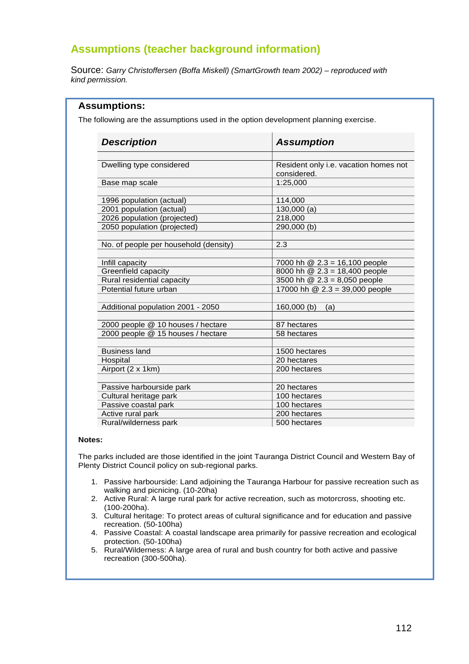# **Assumptions (teacher background information)**

Source: Garry Christoffersen (Boffa Miskell) (SmartGrowth team 2002) – reproduced with kind permission.

| <b>Description</b>                                                     | <b>Assumption</b>                                    |  |  |  |
|------------------------------------------------------------------------|------------------------------------------------------|--|--|--|
|                                                                        |                                                      |  |  |  |
| Dwelling type considered                                               | Resident only i.e. vacation homes not<br>considered. |  |  |  |
|                                                                        | 1:25,000                                             |  |  |  |
| Base map scale                                                         |                                                      |  |  |  |
| 1996 population (actual)                                               | 114,000                                              |  |  |  |
| 2001 population (actual)                                               | 130,000(a)                                           |  |  |  |
| 2026 population (projected)                                            | 218,000                                              |  |  |  |
| 2050 population (projected)                                            | 290,000(b)                                           |  |  |  |
| No. of people per household (density)                                  | 2.3                                                  |  |  |  |
|                                                                        |                                                      |  |  |  |
| Infill capacity                                                        | 7000 hh @ 2.3 = 16,100 people                        |  |  |  |
| Greenfield capacity                                                    | 8000 hh @ 2.3 = 18,400 people                        |  |  |  |
| Rural residential capacity                                             | 3500 hh $@ 2.3 = 8,050$ people                       |  |  |  |
| Potential future urban                                                 | 17000 hh $\textcircled{2}.3 = 39,000$ people         |  |  |  |
| Additional population 2001 - 2050                                      | 160,000(b)<br>(a)                                    |  |  |  |
|                                                                        |                                                      |  |  |  |
| 2000 people @ 10 houses / hectare<br>2000 people @ 15 houses / hectare | 87 hectares                                          |  |  |  |
|                                                                        | 58 hectares                                          |  |  |  |
| <b>Business land</b>                                                   | 1500 hectares                                        |  |  |  |
| Hospital                                                               | 20 hectares                                          |  |  |  |
| Airport (2 x 1km)                                                      | 200 hectares                                         |  |  |  |
| Passive harbourside park                                               | 20 hectares                                          |  |  |  |
| Cultural heritage park                                                 | 100 hectares                                         |  |  |  |
| Passive coastal park                                                   | 100 hectares                                         |  |  |  |
| Active rural park                                                      | 200 hectares                                         |  |  |  |
| Rural/wilderness park                                                  | 500 hectares                                         |  |  |  |

#### **Notes:**

The parks included are those identified in the joint Tauranga District Council and Western Bay of Plenty District Council policy on sub-regional parks.

- 1. Passive harbourside: Land adjoining the Tauranga Harbour for passive recreation such as walking and picnicing. (10-20ha)
- 2. Active Rural: A large rural park for active recreation, such as motorcross, shooting etc. (100-200ha).
- 3. Cultural heritage: To protect areas of cultural significance and for education and passive recreation. (50-100ha)
- 4. Passive Coastal: A coastal landscape area primarily for passive recreation and ecological protection. (50-100ha)
- 5. Rural/Wilderness: A large area of rural and bush country for both active and passive recreation (300-500ha).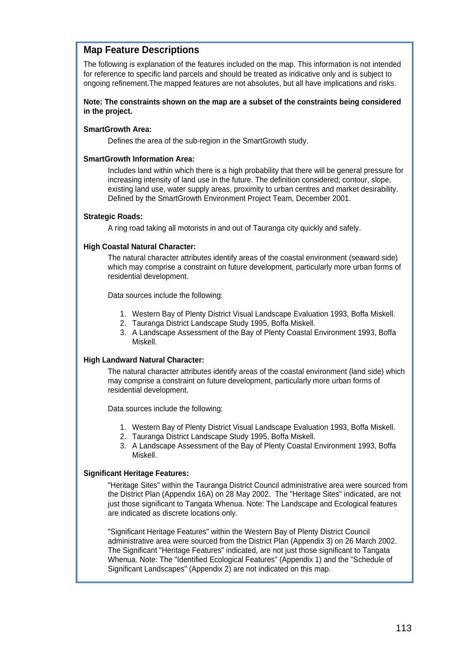# **Map Feature Descriptions**

The following is explanation of the features included on the map. This information is not intended for reference to specific land parcels and should be treated as indicative only and is subject to ongoing refinement.The mapped features are not absolutes, but all have implications and risks.

### **Note: The constraints shown on the map are a subset of the constraints being considered in the project.**

### **SmartGrowth Area:**

Defines the area of the sub-region in the SmartGrowth study.

### **SmartGrowth Information Area:**

Includes land within which there is a high probability that there will be general pressure for increasing intensity of land use in the future. The definition considered; contour, slope, existing land use, water supply areas, proximity to urban centres and market desirability. Defined by the SmartGrowth Environment Project Team, December 2001.

### **Strategic Roads:**

A ring road taking all motorists in and out of Tauranga city quickly and safely.

## **High Coastal Natural Character:**

The natural character attributes identify areas of the coastal environment (seaward side) which may comprise a constraint on future development, particularly more urban forms of residential development.

Data sources include the following:

- 1. Western Bay of Plenty District Visual Landscape Evaluation 1993, Boffa Miskell.
- 2. Tauranga District Landscape Study 1995, Boffa Miskell.
- 3. A Landscape Assessment of the Bay of Plenty Coastal Environment 1993, Boffa Miskell.

## **High Landward Natural Character:**

The natural character attributes identify areas of the coastal environment (land side) which may comprise a constraint on future development, particularly more urban forms of residential development.

Data sources include the following:

- 1. Western Bay of Plenty District Visual Landscape Evaluation 1993, Boffa Miskell.
- 2. Tauranga District Landscape Study 1995, Boffa Miskell.
- 3. A Landscape Assessment of the Bay of Plenty Coastal Environment 1993, Boffa Miskell.

## **Significant Heritage Features:**

"Heritage Sites" within the Tauranga District Council administrative area were sourced from the District Plan (Appendix 16A) on 28 May 2002. The "Heritage Sites" indicated, are not just those significant to Tangata Whenua. Note: The Landscape and Ecological features are indicated as discrete locations only.

"Significant Heritage Features" within the Western Bay of Plenty District Council administrative area were sourced from the District Plan (Appendix 3) on 26 March 2002. The Significant "Heritage Features" indicated, are not just those significant to Tangata Whenua. Note: The "Identified Ecological Features" (Appendix 1) and the "Schedule of Significant Landscapes" (Appendix 2) are not indicated on this map.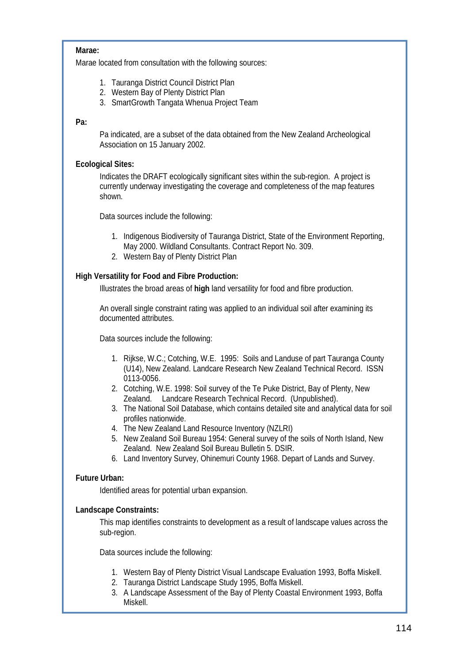# **Marae:**

Marae located from consultation with the following sources:

- 1. Tauranga District Council District Plan
- 2. Western Bay of Plenty District Plan
- 3. SmartGrowth Tangata Whenua Project Team

# **Pa:**

Pa indicated, are a subset of the data obtained from the New Zealand Archeological Association on 15 January 2002.

# **Ecological Sites:**

Indicates the DRAFT ecologically significant sites within the sub-region. A project is currently underway investigating the coverage and completeness of the map features shown.

Data sources include the following:

- 1. Indigenous Biodiversity of Tauranga District, State of the Environment Reporting, May 2000. Wildland Consultants. Contract Report No. 309.
- 2. Western Bay of Plenty District Plan

# **High Versatility for Food and Fibre Production:**

Illustrates the broad areas of **high** land versatility for food and fibre production.

An overall single constraint rating was applied to an individual soil after examining its documented attributes.

Data sources include the following:

- 1. Rijkse, W.C.; Cotching, W.E. 1995: Soils and Landuse of part Tauranga County (U14), New Zealand. Landcare Research New Zealand Technical Record. ISSN 0113-0056.
- 2. Cotching, W.E. 1998: Soil survey of the Te Puke District, Bay of Plenty, New Zealand. Landcare Research Technical Record. (Unpublished).
- 3. The National Soil Database, which contains detailed site and analytical data for soil profiles nationwide.
- 4. The New Zealand Land Resource Inventory (NZLRI)
- 5. New Zealand Soil Bureau 1954: General survey of the soils of North Island, New Zealand. New Zealand Soil Bureau Bulletin 5. DSIR.
- 6. Land Inventory Survey, Ohinemuri County 1968. Depart of Lands and Survey.

# **Future Urban:**

Identified areas for potential urban expansion.

## **Landscape Constraints:**

This map identifies constraints to development as a result of landscape values across the sub-region.

Data sources include the following:

- 1. Western Bay of Plenty District Visual Landscape Evaluation 1993, Boffa Miskell.
- 2. Tauranga District Landscape Study 1995, Boffa Miskell.
- 3. A Landscape Assessment of the Bay of Plenty Coastal Environment 1993, Boffa Miskell.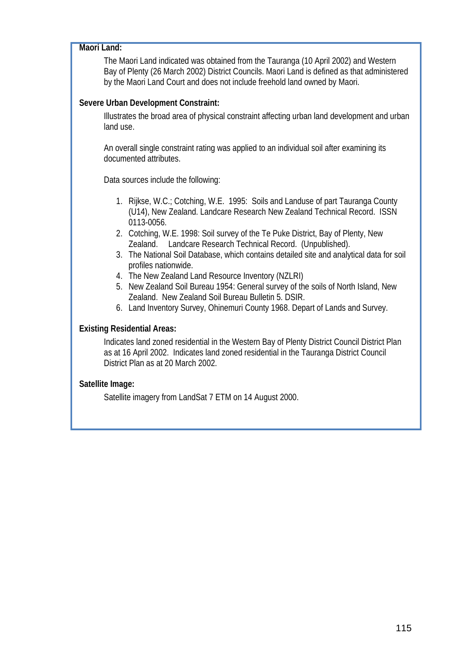# **Maori Land:**

The Maori Land indicated was obtained from the Tauranga (10 April 2002) and Western Bay of Plenty (26 March 2002) District Councils. Maori Land is defined as that administered by the Maori Land Court and does not include freehold land owned by Maori.

# **Severe Urban Development Constraint:**

Illustrates the broad area of physical constraint affecting urban land development and urban land use.

An overall single constraint rating was applied to an individual soil after examining its documented attributes.

Data sources include the following:

- 1. Rijkse, W.C.; Cotching, W.E. 1995: Soils and Landuse of part Tauranga County (U14), New Zealand. Landcare Research New Zealand Technical Record. ISSN 0113-0056.
- 2. Cotching, W.E. 1998: Soil survey of the Te Puke District, Bay of Plenty, New Zealand. Landcare Research Technical Record. (Unpublished).
- 3. The National Soil Database, which contains detailed site and analytical data for soil profiles nationwide.
- 4. The New Zealand Land Resource Inventory (NZLRI)
- 5. New Zealand Soil Bureau 1954: General survey of the soils of North Island, New Zealand. New Zealand Soil Bureau Bulletin 5. DSIR.
- 6. Land Inventory Survey, Ohinemuri County 1968. Depart of Lands and Survey.

# **Existing Residential Areas:**

Indicates land zoned residential in the Western Bay of Plenty District Council District Plan as at 16 April 2002. Indicates land zoned residential in the Tauranga District Council District Plan as at 20 March 2002.

# **Satellite Image:**

Satellite imagery from LandSat 7 ETM on 14 August 2000.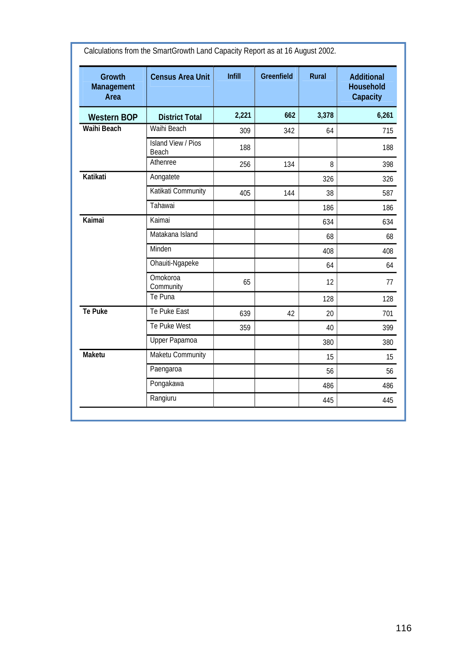| <b>Growth</b><br><b>Management</b><br>Area | <b>Census Area Unit</b>            | <b>Infill</b> | <b>Greenfield</b> | <b>Rural</b> | <b>Additional</b><br><b>Household</b><br><b>Capacity</b> |
|--------------------------------------------|------------------------------------|---------------|-------------------|--------------|----------------------------------------------------------|
| <b>Western BOP</b>                         | <b>District Total</b>              | 2,221         | 662               | 3,378        | 6,261                                                    |
| <b>Waihi Beach</b>                         | Waihi Beach                        | 309           | 342               | 64           | 715                                                      |
|                                            | <b>Island View / Pios</b><br>Beach | 188           |                   |              | 188                                                      |
|                                            | Athenree                           | 256           | 134               | 8            | 398                                                      |
| Katikati                                   | Aongatete                          |               |                   | 326          | 326                                                      |
|                                            | Katikati Community                 | 405           | 144               | 38           | 587                                                      |
|                                            | Tahawai                            |               |                   | 186          | 186                                                      |
| Kaimai                                     | Kaimai                             |               |                   | 634          | 634                                                      |
|                                            | Matakana Island                    |               |                   | 68           | 68                                                       |
|                                            | Minden                             |               |                   | 408          | 408                                                      |
|                                            | Ohauiti-Ngapeke                    |               |                   | 64           | 64                                                       |
|                                            | Omokoroa<br>Community              | 65            |                   | 12           | 77                                                       |
|                                            | Te Puna                            |               |                   | 128          | 128                                                      |
| <b>Te Puke</b>                             | Te Puke East                       | 639           | 42                | 20           | 701                                                      |
|                                            | Te Puke West                       | 359           |                   | 40           | 399                                                      |
|                                            | Upper Papamoa                      |               |                   | 380          | 380                                                      |
| <b>Maketu</b>                              | Maketu Community                   |               |                   | 15           | 15                                                       |
|                                            | Paengaroa                          |               |                   | 56           | 56                                                       |
|                                            | Pongakawa                          |               |                   | 486          | 486                                                      |
|                                            | Rangiuru                           |               |                   | 445          | 445                                                      |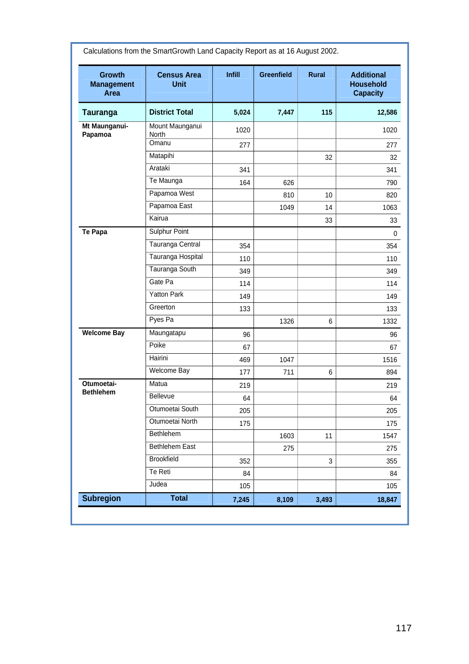| <b>Growth</b><br><b>Management</b><br>Area | <b>Census Area</b><br><b>Unit</b> | <b>Infill</b> | <b>Greenfield</b> | <b>Rural</b> | <b>Additional</b><br><b>Household</b><br><b>Capacity</b> |
|--------------------------------------------|-----------------------------------|---------------|-------------------|--------------|----------------------------------------------------------|
| <b>Tauranga</b>                            | <b>District Total</b>             | 5,024         | 7,447             | 115          | 12,586                                                   |
| Mt Maunganui-<br>Papamoa                   | Mount Maunganui<br>North          | 1020          |                   |              | 1020                                                     |
|                                            | Omanu                             | 277           |                   |              | 277                                                      |
|                                            | Matapihi                          |               |                   | 32           | 32                                                       |
|                                            | Arataki                           | 341           |                   |              | 341                                                      |
|                                            | Te Maunga                         | 164           | 626               |              | 790                                                      |
|                                            | Papamoa West                      |               | 810               | 10           | 820                                                      |
|                                            | Papamoa East                      |               | 1049              | 14           | 1063                                                     |
|                                            | Kairua                            |               |                   | 33           | 33                                                       |
| <b>Te Papa</b>                             | Sulphur Point                     |               |                   |              | 0                                                        |
|                                            | Tauranga Central                  | 354           |                   |              | 354                                                      |
|                                            | Tauranga Hospital                 | 110           |                   |              | 110                                                      |
|                                            | Tauranga South                    | 349           |                   |              | 349                                                      |
|                                            | Gate Pa                           | 114           |                   |              | 114                                                      |
|                                            | <b>Yatton Park</b>                | 149           |                   |              | 149                                                      |
|                                            | Greerton                          | 133           |                   |              | 133                                                      |
|                                            | Pyes Pa                           |               | 1326              | 6            | 1332                                                     |
| <b>Welcome Bay</b>                         | Maungatapu                        | 96            |                   |              | 96                                                       |
|                                            | Poike                             | 67            |                   |              | 67                                                       |
|                                            | Hairini                           | 469           | 1047              |              | 1516                                                     |
|                                            | Welcome Bay                       | 177           | 711               | 6            | 894                                                      |
| Otumoetai-<br><b>Bethlehem</b>             | Matua                             | 219           |                   |              | 219                                                      |
|                                            | Bellevue                          | 64            |                   |              | 64                                                       |
|                                            | Otumoetai South                   | 205           |                   |              | 205                                                      |
|                                            | Otumoetai North                   | 175           |                   |              | 175                                                      |
|                                            | Bethlehem                         |               | 1603              | 11           | 1547                                                     |
|                                            | <b>Bethlehem East</b>             |               | 275               |              | 275                                                      |
|                                            | <b>Brookfield</b>                 | 352           |                   | 3            | 355                                                      |
|                                            | Te Reti                           | 84            |                   |              | 84                                                       |
|                                            | Judea                             | 105           |                   |              | 105                                                      |
| <b>Subregion</b>                           | <b>Total</b>                      | 7,245         | 8,109             | 3,493        | 18,847                                                   |